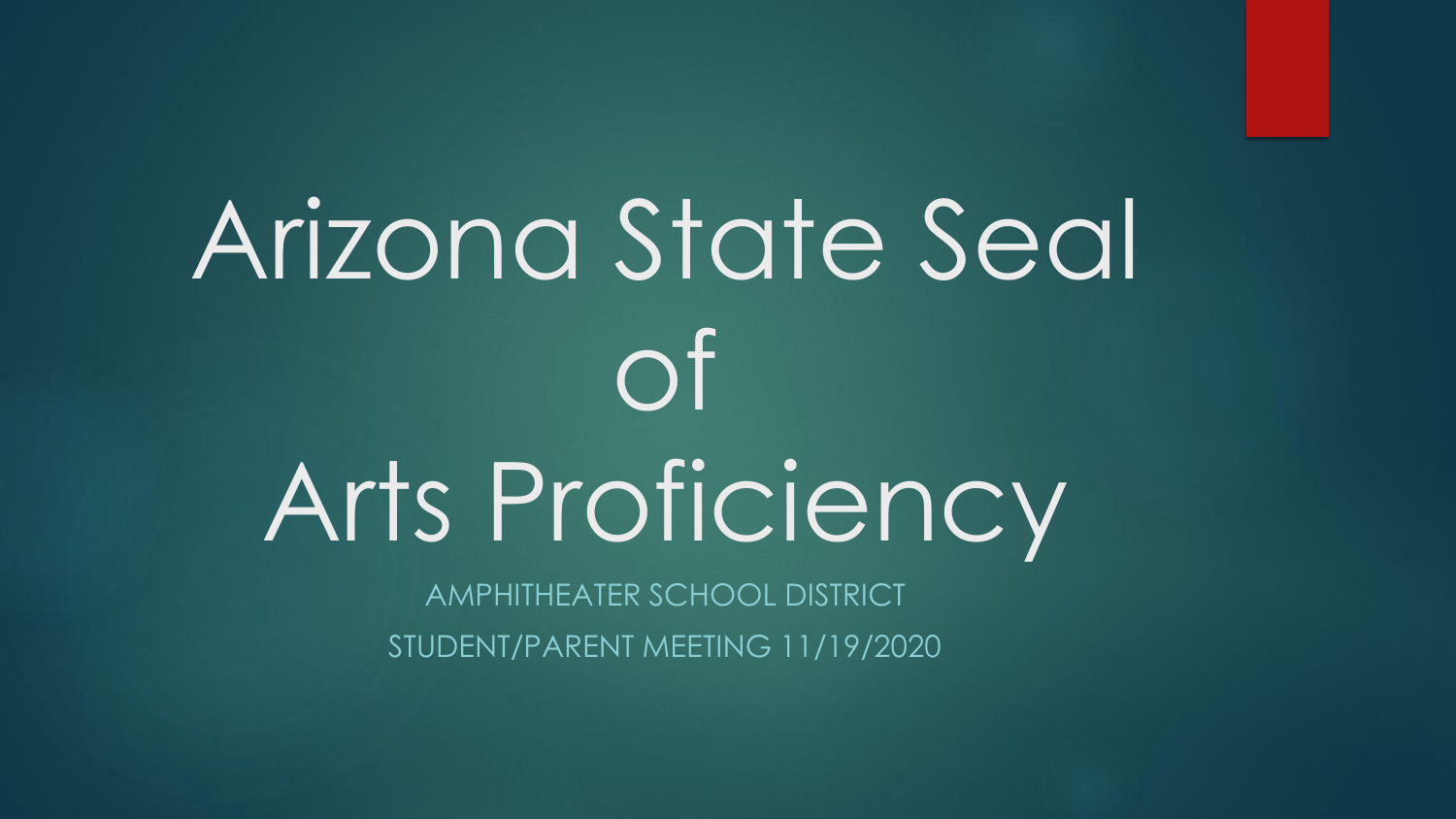# Arizona State Seal of Arts Proficiency

AMPHITHEATER SCHOOL DISTRICT STUDENT/PARENT MEETING 11/19/2020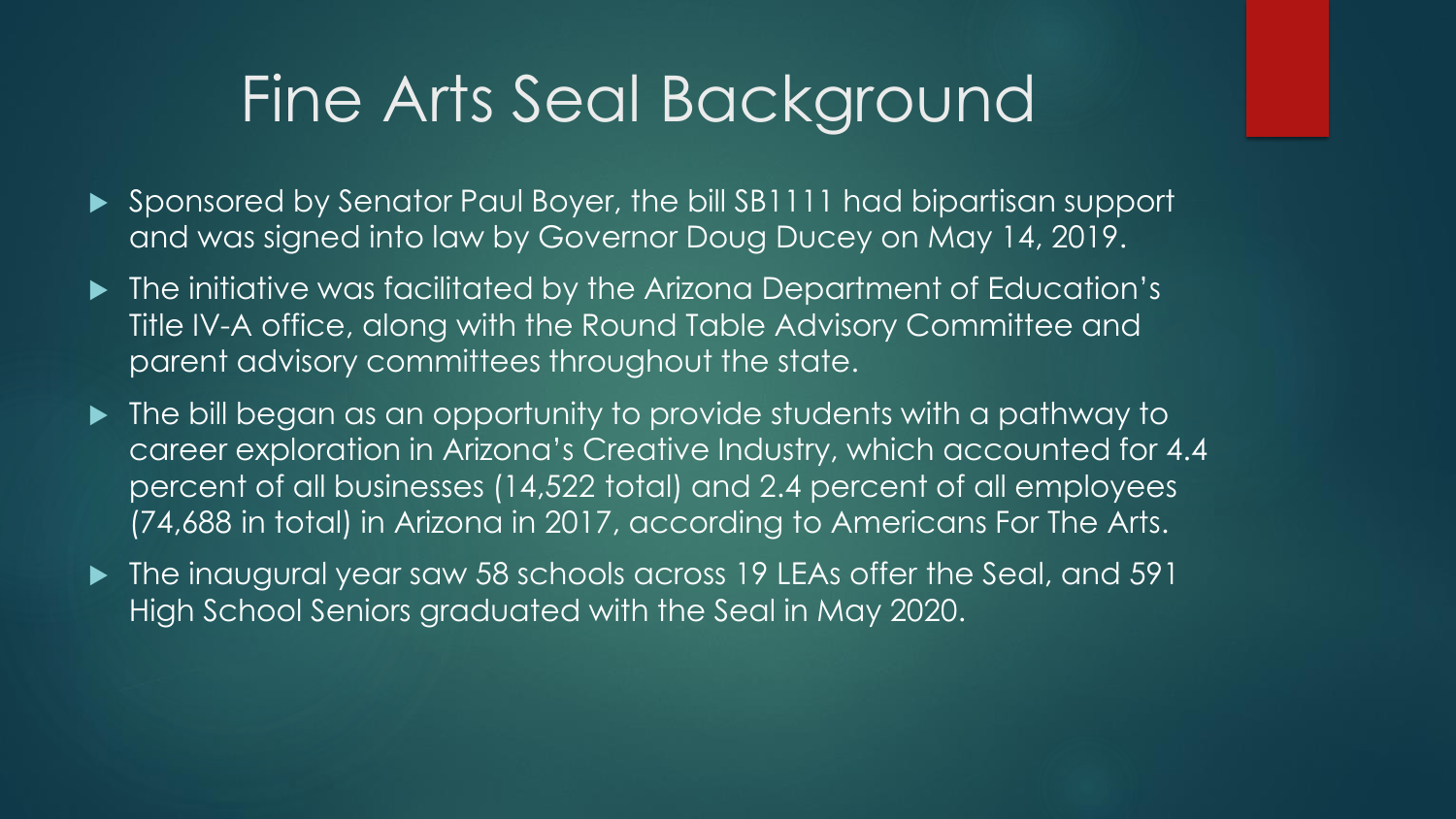### Fine Arts Seal Background

- ▶ Sponsored by Senator Paul Boyer, the bill SB1111 had bipartisan support and was signed into law by Governor Doug Ducey on May 14, 2019.
- ▶ The initiative was facilitated by the Arizona Department of Education's Title IV-A office, along with the Round Table Advisory Committee and parent advisory committees throughout the state.
- $\blacktriangleright$  The bill began as an opportunity to provide students with a pathway to career exploration in Arizona's Creative Industry, which accounted for 4.4 percent of all businesses (14,522 total) and 2.4 percent of all employees (74,688 in total) in Arizona in 2017, according to Americans For The Arts.
- ▶ The inaugural year saw 58 schools across 19 LEAs offer the Seal, and 591 High School Seniors graduated with the Seal in May 2020.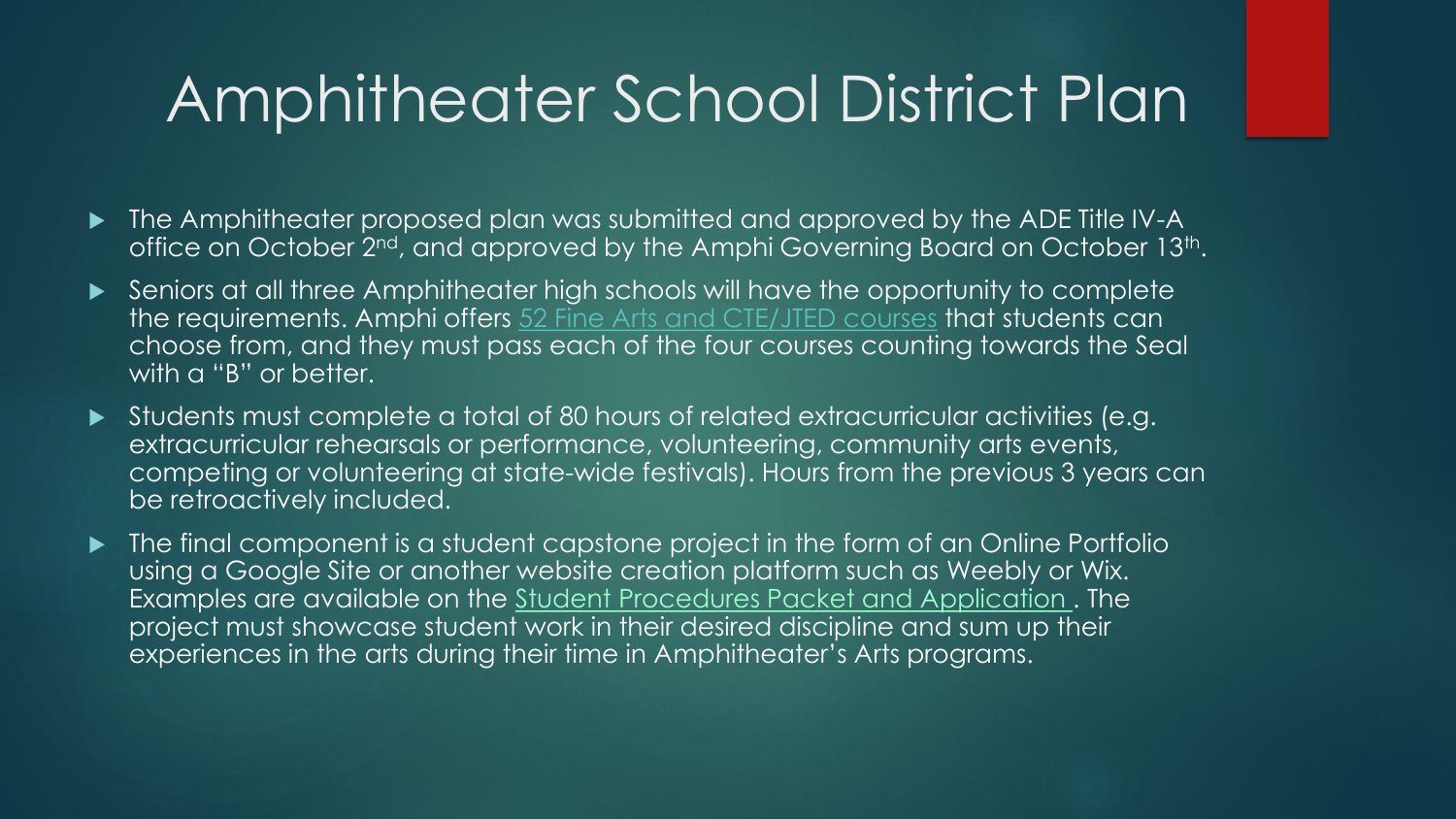### Amphitheater School District Plan

- The Amphitheater proposed plan was submitted and approved by the ADE Title IV-A office on October 2<sup>nd</sup>, and approved by the Amphi Governing Board on October 13<sup>th</sup>.
- Seniors at all three Amphitheater high schools will have the opportunity to complete the requirements. Amphi offers 52 Fine Arts and CTE/JTED courses that students can choose from, and they must pass each of the four courses counting towards the Seal with a "B" or better.
- Students must complete a total of 80 hours of related extracurricular activities (e.g. extracurricular rehearsals or performance, volunteering, community arts events, competing or volunteering at state-wide festivals). Hours from the previous 3 years can be retroactively included.
- The final component is a student capstone project in the form of an Online Portfolio using a Google Site or another website creation platform such as Weebly or Wix. Examples are available on the Student Procedures Packet and Application . The project must showcase student work in their desired discipline and sum up their experiences in the arts during their time in Amphitheater's Arts programs.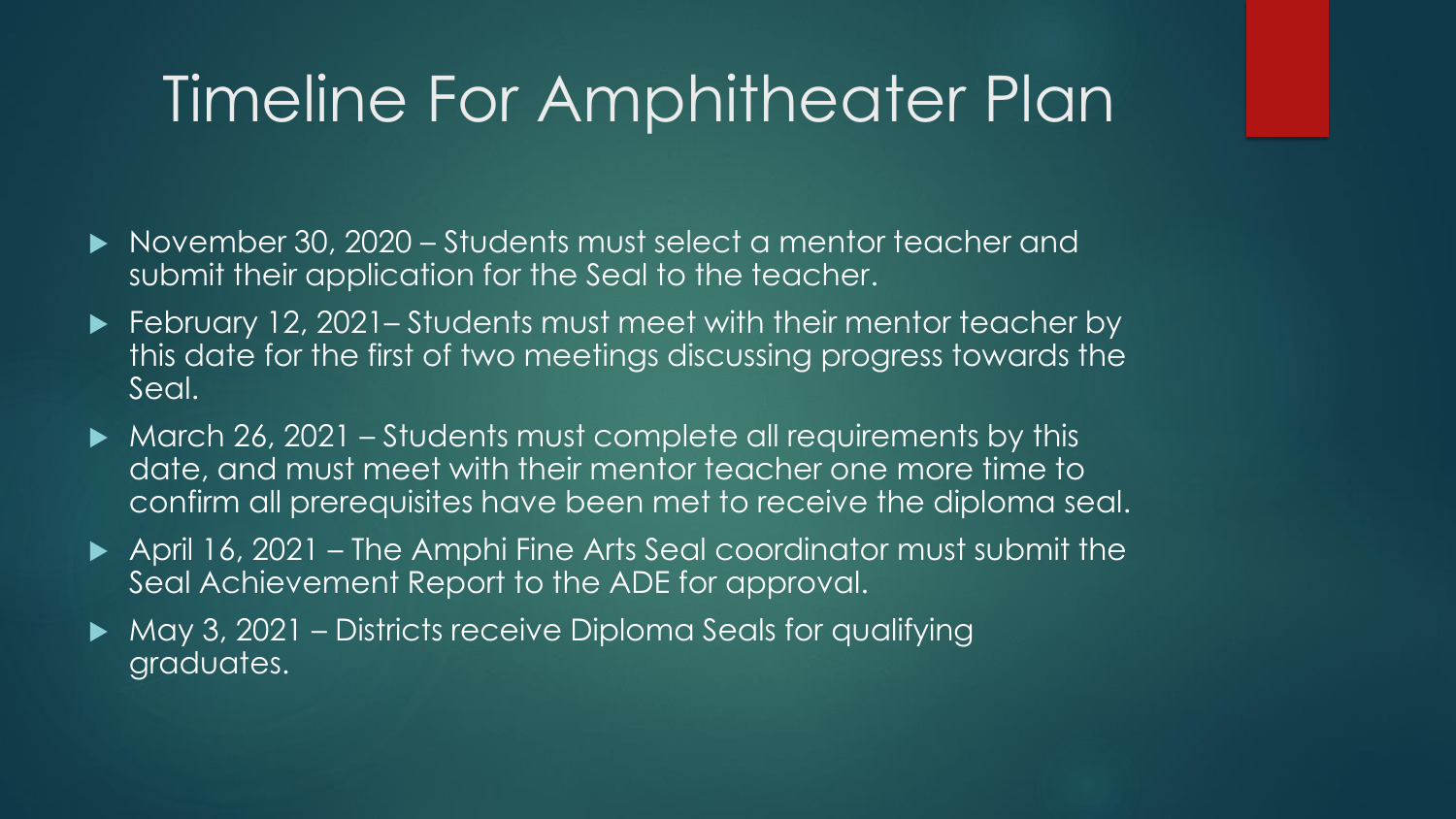### Timeline For Amphitheater Plan

- ▶ November 30, 2020 Students must select a mentor teacher and submit their application for the Seal to the teacher.
- ► February 12, 2021– Students must meet with their mentor teacher by this date for the first of two meetings discussing progress towards the Seal.
- $\blacktriangleright$  March 26, 2021 Students must complete all requirements by this date, and must meet with their mentor teacher one more time to confirm all prerequisites have been met to receive the diploma seal.
- April 16, 2021 The Amphi Fine Arts Seal coordinator must submit the Seal Achievement Report to the ADE for approval.
- ▶ May 3, 2021 Districts receive Diploma Seals for qualifying graduates.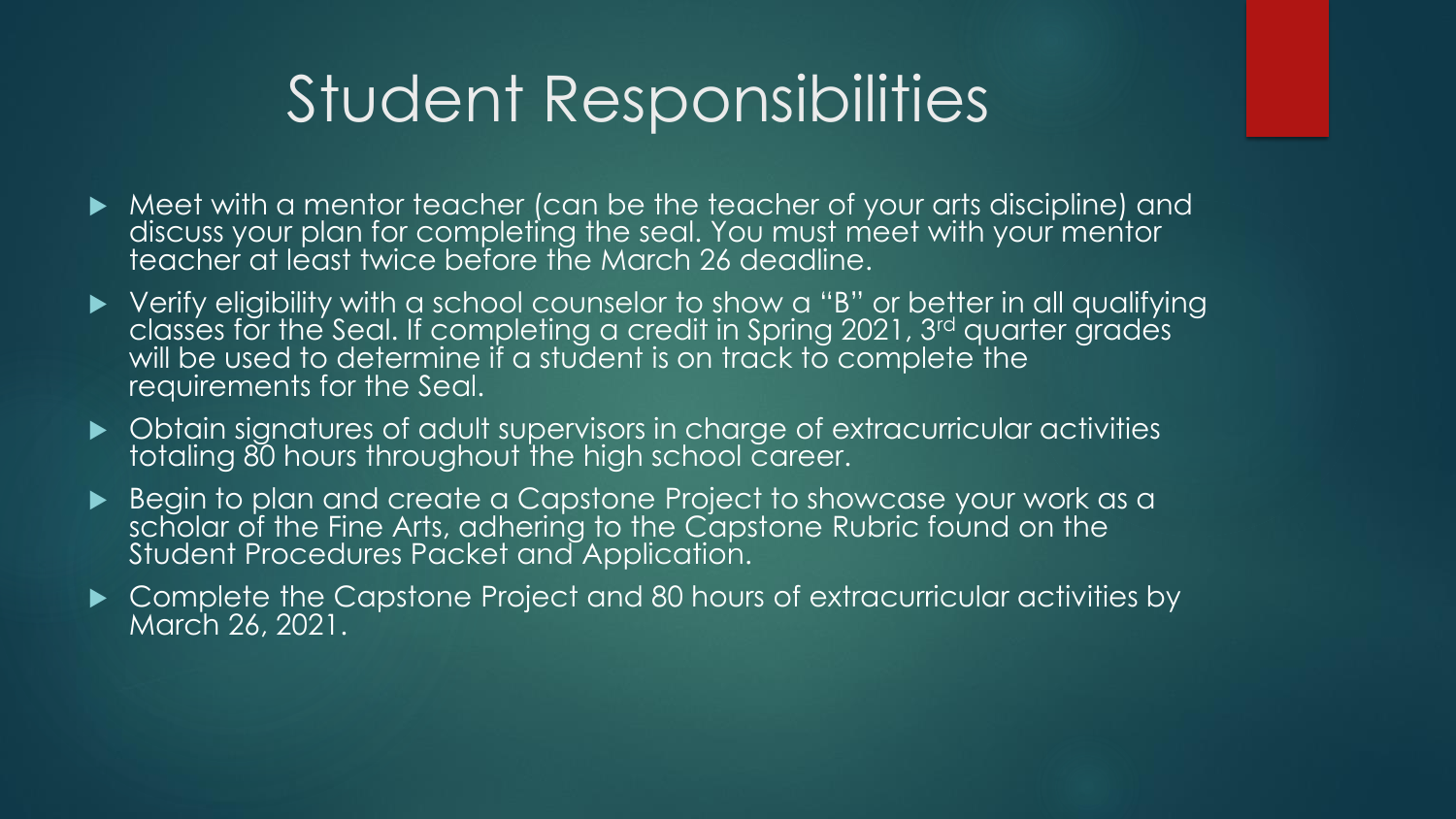### Student Responsibilities

- Meet with a mentor teacher (can be the teacher of your arts discipline) and discuss your plan for completing the seal. You must meet with your mentor teacher at least twice before the March 26 deadline.
- Verify eligibility with a school counselor to show a "B" or better in all qualifying classes for the Seal. If completing a credit in Spring 2021, 3rd quarter grades will be used to determine if a student is on track to complete the requirements for the Seal.
- Obtain signatures of adult supervisors in charge of extracurricular activities totaling 80 hours throughout the high school career.
- Begin to plan and create a Capstone Project to showcase your work as a scholar of the Fine Arts, adhering to the Capstone Rubric found on the Student Procedures Packet and Application.
- ▶ Complete the Capstone Project and 80 hours of extracurricular activities by March 26, 2021.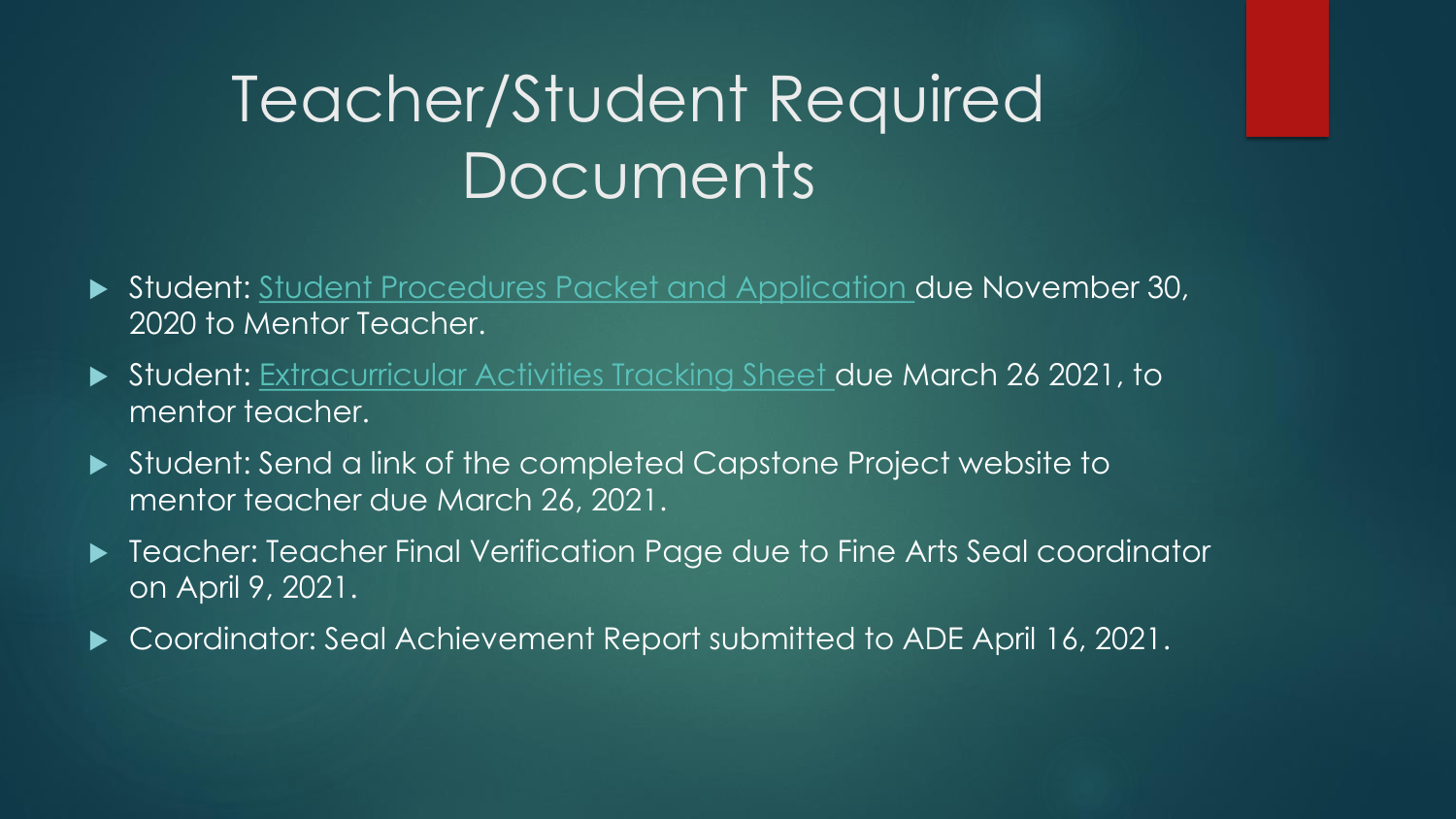# Teacher/Student Required Documents

- ▶ Student: Student Procedures Packet and Application due November 30, 2020 to Mentor Teacher.
- Student: Extracurricular Activities Tracking Sheet due March 26 2021, to mentor teacher.
- Student: Send a link of the completed Capstone Project website to mentor teacher due March 26, 2021.
- ▶ Teacher: Teacher Final Verification Page due to Fine Arts Seal coordinator on April 9, 2021.
- ▶ Coordinator: Seal Achievement Report submitted to ADE April 16, 2021.